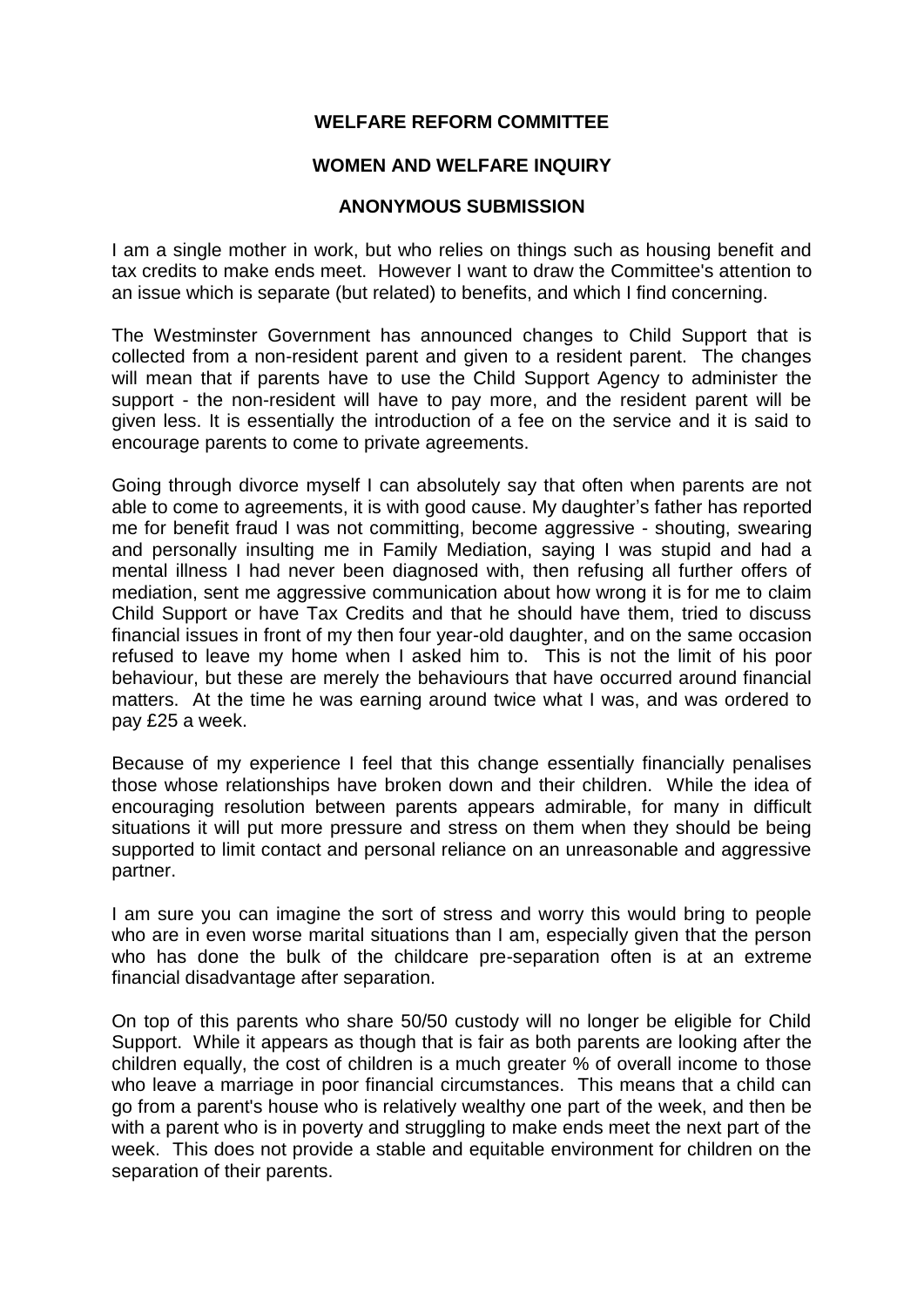## **WELFARE REFORM COMMITTEE**

## **WOMEN AND WELFARE INQUIRY**

## **ANONYMOUS SUBMISSION**

I am a single mother in work, but who relies on things such as housing benefit and tax credits to make ends meet. However I want to draw the Committee's attention to an issue which is separate (but related) to benefits, and which I find concerning.

The Westminster Government has announced changes to Child Support that is collected from a non-resident parent and given to a resident parent. The changes will mean that if parents have to use the Child Support Agency to administer the support - the non-resident will have to pay more, and the resident parent will be given less. It is essentially the introduction of a fee on the service and it is said to encourage parents to come to private agreements.

Going through divorce myself I can absolutely say that often when parents are not able to come to agreements, it is with good cause. My daughter's father has reported me for benefit fraud I was not committing, become aggressive - shouting, swearing and personally insulting me in Family Mediation, saying I was stupid and had a mental illness I had never been diagnosed with, then refusing all further offers of mediation, sent me aggressive communication about how wrong it is for me to claim Child Support or have Tax Credits and that he should have them, tried to discuss financial issues in front of my then four year-old daughter, and on the same occasion refused to leave my home when I asked him to. This is not the limit of his poor behaviour, but these are merely the behaviours that have occurred around financial matters. At the time he was earning around twice what I was, and was ordered to pay £25 a week.

Because of my experience I feel that this change essentially financially penalises those whose relationships have broken down and their children. While the idea of encouraging resolution between parents appears admirable, for many in difficult situations it will put more pressure and stress on them when they should be being supported to limit contact and personal reliance on an unreasonable and aggressive partner.

I am sure you can imagine the sort of stress and worry this would bring to people who are in even worse marital situations than I am, especially given that the person who has done the bulk of the childcare pre-separation often is at an extreme financial disadvantage after separation.

On top of this parents who share 50/50 custody will no longer be eligible for Child Support. While it appears as though that is fair as both parents are looking after the children equally, the cost of children is a much greater % of overall income to those who leave a marriage in poor financial circumstances. This means that a child can go from a parent's house who is relatively wealthy one part of the week, and then be with a parent who is in poverty and struggling to make ends meet the next part of the week. This does not provide a stable and equitable environment for children on the separation of their parents.